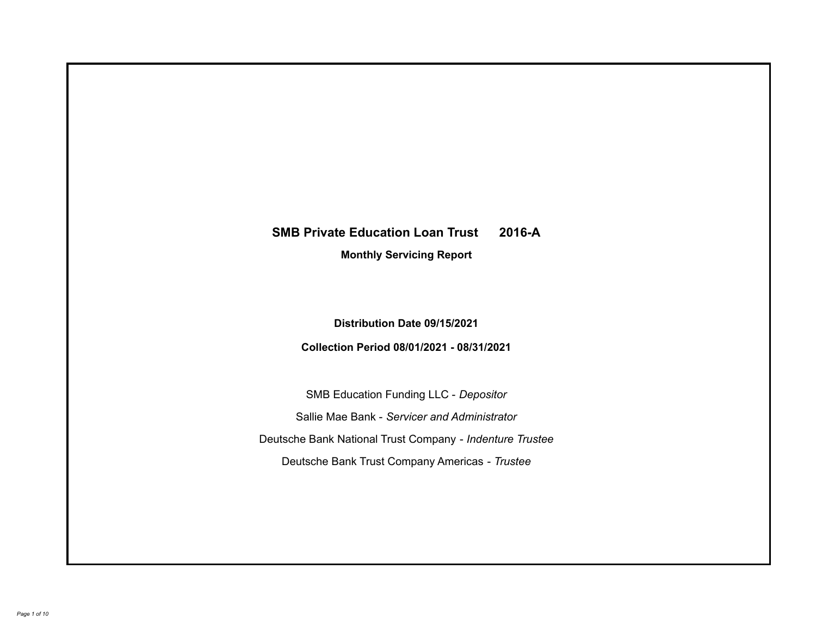# **SMB Private Education Loan Trust 2016-A**

**Monthly Servicing Report**

**Distribution Date 09/15/2021**

**Collection Period 08/01/2021 - 08/31/2021**

SMB Education Funding LLC - *Depositor* Sallie Mae Bank - *Servicer and Administrator* Deutsche Bank National Trust Company - *Indenture Trustee* Deutsche Bank Trust Company Americas - *Trustee*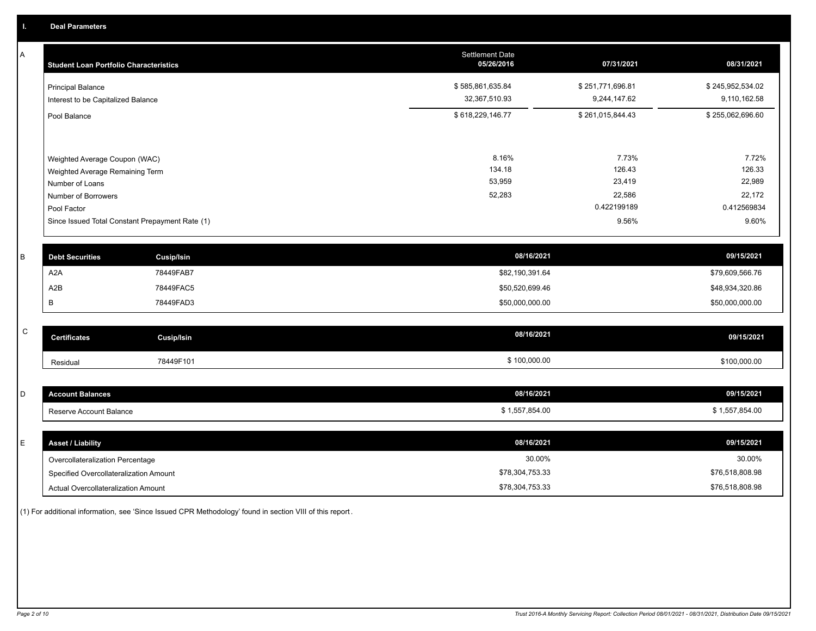A

| A           | <b>Student Loan Portfolio Characteristics</b>   |                   | <b>Settlement Date</b><br>05/26/2016 | 07/31/2021       | 08/31/2021       |
|-------------|-------------------------------------------------|-------------------|--------------------------------------|------------------|------------------|
|             | <b>Principal Balance</b>                        |                   | \$585,861,635.84                     | \$251,771,696.81 | \$245,952,534.02 |
|             | Interest to be Capitalized Balance              |                   | 32,367,510.93                        | 9,244,147.62     | 9,110,162.58     |
|             | Pool Balance                                    |                   | \$618,229,146.77                     | \$261,015,844.43 | \$255,062,696.60 |
|             |                                                 |                   |                                      |                  |                  |
|             | Weighted Average Coupon (WAC)                   |                   | 8.16%                                | 7.73%            | 7.72%            |
|             | Weighted Average Remaining Term                 |                   | 134.18                               | 126.43           | 126.33           |
|             | Number of Loans                                 |                   | 53,959                               | 23,419           | 22,989           |
|             | Number of Borrowers                             |                   | 52,283                               | 22,586           | 22,172           |
|             | Pool Factor                                     |                   |                                      | 0.422199189      | 0.412569834      |
|             | Since Issued Total Constant Prepayment Rate (1) |                   |                                      | 9.56%            | 9.60%            |
|             |                                                 |                   |                                      |                  |                  |
| В           | <b>Debt Securities</b>                          | <b>Cusip/Isin</b> | 08/16/2021                           |                  | 09/15/2021       |
|             | A <sub>2</sub> A                                | 78449FAB7         | \$82,190,391.64                      |                  | \$79,609,566.76  |
|             | A <sub>2</sub> B                                | 78449FAC5         | \$50,520,699.46                      |                  | \$48,934,320.86  |
|             | В                                               | 78449FAD3         | \$50,000,000.00                      |                  | \$50,000,000.00  |
|             |                                                 |                   |                                      |                  |                  |
| $\mathsf C$ | <b>Certificates</b>                             | <b>Cusip/Isin</b> | 08/16/2021                           |                  | 09/15/2021       |
|             | Residual                                        | 78449F101         | \$100,000.00                         |                  | \$100,000.00     |
|             |                                                 |                   |                                      |                  |                  |
| D           | <b>Account Balances</b>                         |                   | 08/16/2021                           |                  | 09/15/2021       |
|             | Reserve Account Balance                         |                   | \$1,557,854.00                       |                  | \$1,557,854.00   |
|             |                                                 |                   |                                      |                  |                  |

| <b>Asset / Liability</b>               | 08/16/2021      | 09/15/2021      |
|----------------------------------------|-----------------|-----------------|
| Overcollateralization Percentage       | 30.00%          | 30.00%          |
| Specified Overcollateralization Amount | \$78,304,753.33 | \$76,518,808.98 |
| Actual Overcollateralization Amount    | \$78,304,753.33 | \$76,518,808.98 |

(1) For additional information, see 'Since Issued CPR Methodology' found in section VIII of this report .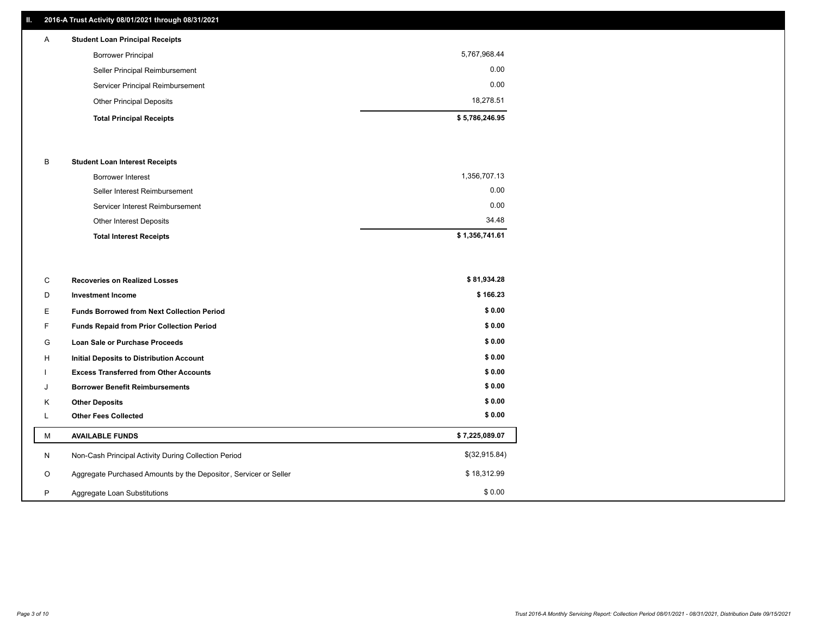## **II. 2016-A Trust Activity 08/01/2021 through 08/31/2021**

# **Total Principal Receipts \$ 5,786,246.95**  Other Principal Deposits 18,278.51 Servicer Principal Reimbursement 0.00 Seller Principal Reimbursement 0.00 Borrower Principal 5,767,968.44 A **Student Loan Principal Receipts**

#### B **Student Loan Interest Receipts**

| <b>Total Interest Receipts</b>  | \$1,356,741.61 |
|---------------------------------|----------------|
| Other Interest Deposits         | 34.48          |
| Servicer Interest Reimbursement | 0.00           |
| Seller Interest Reimbursement   | 0.00           |
| Borrower Interest               | 1,356,707.13   |

| С       | <b>Recoveries on Realized Losses</b>                             | \$81,934.28    |
|---------|------------------------------------------------------------------|----------------|
| D       | <b>Investment Income</b>                                         | \$166.23       |
| Е       | <b>Funds Borrowed from Next Collection Period</b>                | \$0.00         |
|         | Funds Repaid from Prior Collection Period                        | \$0.00         |
| G       | Loan Sale or Purchase Proceeds                                   | \$0.00         |
| H       | Initial Deposits to Distribution Account                         | \$0.00         |
|         | <b>Excess Transferred from Other Accounts</b>                    | \$0.00         |
| J       | <b>Borrower Benefit Reimbursements</b>                           | \$0.00         |
| K       | <b>Other Deposits</b>                                            | \$0.00         |
|         | <b>Other Fees Collected</b>                                      | \$0.00         |
| M       | <b>AVAILABLE FUNDS</b>                                           | \$7,225,089.07 |
| N       | Non-Cash Principal Activity During Collection Period             | \$(32,915.84)  |
| $\circ$ | Aggregate Purchased Amounts by the Depositor, Servicer or Seller | \$18,312.99    |
| P       | Aggregate Loan Substitutions                                     | \$0.00         |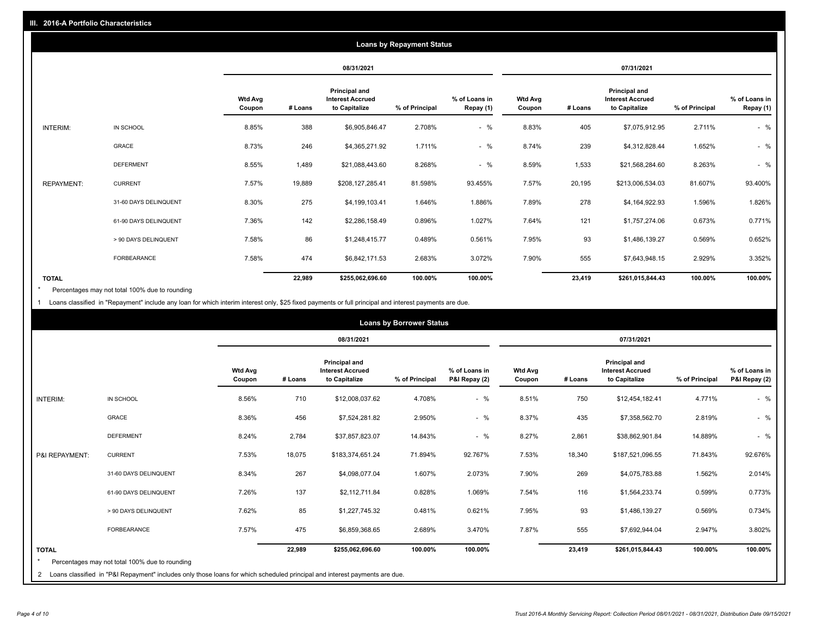|                   | <b>Loans by Repayment Status</b> |                          |            |                                                           |                |                            |                          |            |                                                           |                |                            |
|-------------------|----------------------------------|--------------------------|------------|-----------------------------------------------------------|----------------|----------------------------|--------------------------|------------|-----------------------------------------------------------|----------------|----------------------------|
|                   |                                  |                          | 08/31/2021 |                                                           |                |                            |                          | 07/31/2021 |                                                           |                |                            |
|                   |                                  | <b>Wtd Avg</b><br>Coupon | # Loans    | Principal and<br><b>Interest Accrued</b><br>to Capitalize | % of Principal | % of Loans in<br>Repay (1) | <b>Wtd Avg</b><br>Coupon | # Loans    | Principal and<br><b>Interest Accrued</b><br>to Capitalize | % of Principal | % of Loans in<br>Repay (1) |
| INTERIM:          | IN SCHOOL                        | 8.85%                    | 388        | \$6,905,846.47                                            | 2.708%         | $-$ %                      | 8.83%                    | 405        | \$7,075,912.95                                            | 2.711%         | $-$ %                      |
|                   | <b>GRACE</b>                     | 8.73%                    | 246        | \$4,365,271.92                                            | 1.711%         | $-$ %                      | 8.74%                    | 239        | \$4,312,828.44                                            | 1.652%         | $-$ %                      |
|                   | <b>DEFERMENT</b>                 | 8.55%                    | 1,489      | \$21,088,443.60                                           | 8.268%         | $-$ %                      | 8.59%                    | 1,533      | \$21,568,284.60                                           | 8.263%         | $-$ %                      |
| <b>REPAYMENT:</b> | <b>CURRENT</b>                   | 7.57%                    | 19,889     | \$208,127,285.41                                          | 81.598%        | 93.455%                    | 7.57%                    | 20,195     | \$213,006,534.03                                          | 81.607%        | 93.400%                    |
|                   | 31-60 DAYS DELINQUENT            | 8.30%                    | 275        | \$4,199,103.41                                            | 1.646%         | 1.886%                     | 7.89%                    | 278        | \$4,164,922.93                                            | 1.596%         | 1.826%                     |
|                   | 61-90 DAYS DELINQUENT            | 7.36%                    | 142        | \$2,286,158.49                                            | 0.896%         | 1.027%                     | 7.64%                    | 121        | \$1,757,274.06                                            | 0.673%         | 0.771%                     |
|                   | > 90 DAYS DELINQUENT             | 7.58%                    | 86         | \$1,248,415.77                                            | 0.489%         | 0.561%                     | 7.95%                    | 93         | \$1,486,139.27                                            | 0.569%         | 0.652%                     |
|                   | <b>FORBEARANCE</b>               | 7.58%                    | 474        | \$6,842,171.53                                            | 2.683%         | 3.072%                     | 7.90%                    | 555        | \$7,643,948.15                                            | 2.929%         | 3.352%                     |
| <b>TOTAL</b>      |                                  |                          | 22,989     | \$255,062,696.60                                          | 100.00%        | 100.00%                    |                          | 23,419     | \$261,015,844.43                                          | 100.00%        | 100.00%                    |

Percentages may not total 100% due to rounding \*

1 Loans classified in "Repayment" include any loan for which interim interest only, \$25 fixed payments or full principal and interest payments are due.

| <b>Loans by Borrower Status</b> |                                                                                                                                                                                |                          |            |                                                           |                |                                |                          |         |                                                                  |                |                                |
|---------------------------------|--------------------------------------------------------------------------------------------------------------------------------------------------------------------------------|--------------------------|------------|-----------------------------------------------------------|----------------|--------------------------------|--------------------------|---------|------------------------------------------------------------------|----------------|--------------------------------|
|                                 |                                                                                                                                                                                |                          | 08/31/2021 |                                                           |                |                                | 07/31/2021               |         |                                                                  |                |                                |
|                                 |                                                                                                                                                                                | <b>Wtd Avg</b><br>Coupon | # Loans    | Principal and<br><b>Interest Accrued</b><br>to Capitalize | % of Principal | % of Loans in<br>P&I Repay (2) | <b>Wtd Avg</b><br>Coupon | # Loans | <b>Principal and</b><br><b>Interest Accrued</b><br>to Capitalize | % of Principal | % of Loans in<br>P&I Repay (2) |
| <b>INTERIM:</b>                 | IN SCHOOL                                                                                                                                                                      | 8.56%                    | 710        | \$12,008,037.62                                           | 4.708%         | $-$ %                          | 8.51%                    | 750     | \$12,454,182.41                                                  | 4.771%         | $-$ %                          |
|                                 | <b>GRACE</b>                                                                                                                                                                   | 8.36%                    | 456        | \$7,524,281.82                                            | 2.950%         | $-$ %                          | 8.37%                    | 435     | \$7,358,562.70                                                   | 2.819%         | $-$ %                          |
|                                 | <b>DEFERMENT</b>                                                                                                                                                               | 8.24%                    | 2,784      | \$37,857,823.07                                           | 14.843%        | $-$ %                          | 8.27%                    | 2,861   | \$38,862,901.84                                                  | 14.889%        | $-$ %                          |
| P&I REPAYMENT:                  | <b>CURRENT</b>                                                                                                                                                                 | 7.53%                    | 18,075     | \$183,374,651.24                                          | 71.894%        | 92.767%                        | 7.53%                    | 18,340  | \$187,521,096.55                                                 | 71.843%        | 92.676%                        |
|                                 | 31-60 DAYS DELINQUENT                                                                                                                                                          | 8.34%                    | 267        | \$4,098,077.04                                            | 1.607%         | 2.073%                         | 7.90%                    | 269     | \$4,075,783.88                                                   | 1.562%         | 2.014%                         |
|                                 | 61-90 DAYS DELINQUENT                                                                                                                                                          | 7.26%                    | 137        | \$2,112,711.84                                            | 0.828%         | 1.069%                         | 7.54%                    | 116     | \$1,564,233.74                                                   | 0.599%         | 0.773%                         |
|                                 | > 90 DAYS DELINQUENT                                                                                                                                                           | 7.62%                    | 85         | \$1,227,745.32                                            | 0.481%         | 0.621%                         | 7.95%                    | 93      | \$1,486,139.27                                                   | 0.569%         | 0.734%                         |
|                                 | <b>FORBEARANCE</b>                                                                                                                                                             | 7.57%                    | 475        | \$6,859,368.65                                            | 2.689%         | 3.470%                         | 7.87%                    | 555     | \$7,692,944.04                                                   | 2.947%         | 3.802%                         |
| <b>TOTAL</b><br>$\star$         | Percentages may not total 100% due to rounding<br>2 Loans classified in "P&I Repayment" includes only those loans for which scheduled principal and interest payments are due. |                          | 22,989     | \$255,062,696.60                                          | 100.00%        | 100.00%                        |                          | 23,419  | \$261,015,844.43                                                 | 100.00%        | 100.00%                        |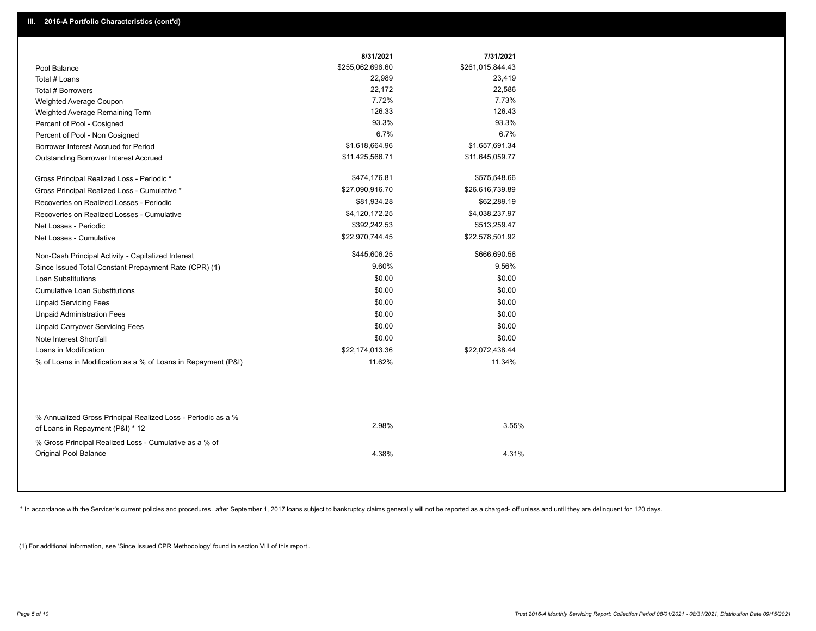|                                                                                                  | 8/31/2021        | 7/31/2021        |  |
|--------------------------------------------------------------------------------------------------|------------------|------------------|--|
| Pool Balance                                                                                     | \$255,062,696.60 | \$261,015,844.43 |  |
| Total # Loans                                                                                    | 22,989           | 23,419           |  |
| Total # Borrowers                                                                                | 22,172           | 22,586           |  |
| Weighted Average Coupon                                                                          | 7.72%            | 7.73%            |  |
| Weighted Average Remaining Term                                                                  | 126.33           | 126.43           |  |
| Percent of Pool - Cosigned                                                                       | 93.3%            | 93.3%            |  |
| Percent of Pool - Non Cosigned                                                                   | 6.7%             | 6.7%             |  |
| Borrower Interest Accrued for Period                                                             | \$1,618,664.96   | \$1,657,691.34   |  |
| Outstanding Borrower Interest Accrued                                                            | \$11,425,566.71  | \$11,645,059.77  |  |
| Gross Principal Realized Loss - Periodic *                                                       | \$474,176.81     | \$575,548.66     |  |
| Gross Principal Realized Loss - Cumulative *                                                     | \$27,090,916.70  | \$26,616,739.89  |  |
| Recoveries on Realized Losses - Periodic                                                         | \$81,934.28      | \$62,289.19      |  |
| Recoveries on Realized Losses - Cumulative                                                       | \$4,120,172.25   | \$4,038,237.97   |  |
| Net Losses - Periodic                                                                            | \$392,242.53     | \$513,259.47     |  |
| Net Losses - Cumulative                                                                          | \$22,970,744.45  | \$22,578,501.92  |  |
| Non-Cash Principal Activity - Capitalized Interest                                               | \$445,606.25     | \$666,690.56     |  |
| Since Issued Total Constant Prepayment Rate (CPR) (1)                                            | 9.60%            | 9.56%            |  |
| <b>Loan Substitutions</b>                                                                        | \$0.00           | \$0.00           |  |
| <b>Cumulative Loan Substitutions</b>                                                             | \$0.00           | \$0.00           |  |
| <b>Unpaid Servicing Fees</b>                                                                     | \$0.00           | \$0.00           |  |
| <b>Unpaid Administration Fees</b>                                                                | \$0.00           | \$0.00           |  |
| <b>Unpaid Carryover Servicing Fees</b>                                                           | \$0.00           | \$0.00           |  |
| Note Interest Shortfall                                                                          | \$0.00           | \$0.00           |  |
| Loans in Modification                                                                            | \$22,174,013.36  | \$22,072,438.44  |  |
| % of Loans in Modification as a % of Loans in Repayment (P&I)                                    | 11.62%           | 11.34%           |  |
|                                                                                                  |                  |                  |  |
| % Annualized Gross Principal Realized Loss - Periodic as a %<br>of Loans in Repayment (P&I) * 12 | 2.98%            | 3.55%            |  |
| % Gross Principal Realized Loss - Cumulative as a % of<br><b>Original Pool Balance</b>           | 4.38%            | 4.31%            |  |

\* In accordance with the Servicer's current policies and procedures, after September 1, 2017 loans subject to bankruptcy claims generally will not be reported as a charged- off unless and until they are delinquent for 120

(1) For additional information, see 'Since Issued CPR Methodology' found in section VIII of this report .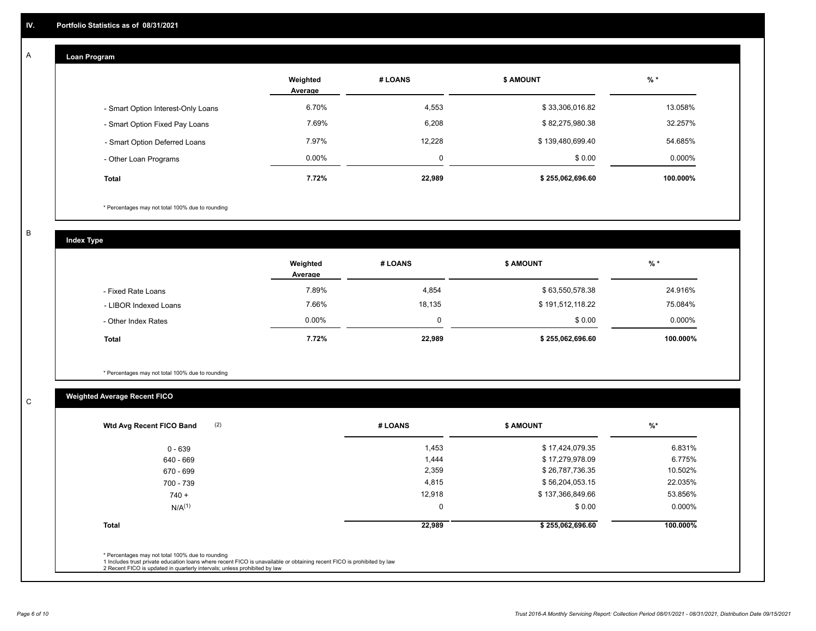# **Loan Program**

A

|                                    | Weighted<br>Average | # LOANS | <b>\$ AMOUNT</b> | $%$ *    |
|------------------------------------|---------------------|---------|------------------|----------|
| - Smart Option Interest-Only Loans | 6.70%               | 4,553   | \$33,306,016.82  | 13.058%  |
| - Smart Option Fixed Pay Loans     | 7.69%               | 6,208   | \$82,275,980.38  | 32.257%  |
| - Smart Option Deferred Loans      | 7.97%               | 12.228  | \$139,480,699.40 | 54.685%  |
| - Other Loan Programs              | $0.00\%$            | ⌒<br>υ  | \$0.00           | 0.000%   |
| <b>Total</b>                       | 7.72%               | 22,989  | \$255,062,696.60 | 100.000% |

\* Percentages may not total 100% due to rounding

B

C

**Index Type**

|                       | Weighted<br>Average | # LOANS  | <b>\$ AMOUNT</b> | % *      |
|-----------------------|---------------------|----------|------------------|----------|
| - Fixed Rate Loans    | 7.89%               | 4,854    | \$63,550,578.38  | 24.916%  |
| - LIBOR Indexed Loans | 7.66%               | 18,135   | \$191,512,118.22 | 75.084%  |
| - Other Index Rates   | $0.00\%$            | $\Omega$ | \$0.00           | 0.000%   |
| <b>Total</b>          | 7.72%               | 22,989   | \$255,062,696.60 | 100.000% |

\* Percentages may not total 100% due to rounding

# **Weighted Average Recent FICO**

| (2)<br>Wtd Avg Recent FICO Band | # LOANS     | <b>S AMOUNT</b>  | $%$ *     |
|---------------------------------|-------------|------------------|-----------|
| 0 - 639                         | 1,453       | \$17,424,079.35  | 6.831%    |
| 640 - 669                       | 1,444       | \$17,279,978.09  | 6.775%    |
| 670 - 699                       | 2,359       | \$26,787,736.35  | 10.502%   |
| 700 - 739                       | 4,815       | \$56,204,053.15  | 22.035%   |
| $740 +$                         | 12,918      | \$137,366,849.66 | 53.856%   |
| $N/A^{(1)}$                     | $\mathbf 0$ | \$0.00           | $0.000\%$ |
| <b>Total</b>                    | 22,989      | \$255,062,696.60 | 100.000%  |
|                                 |             |                  |           |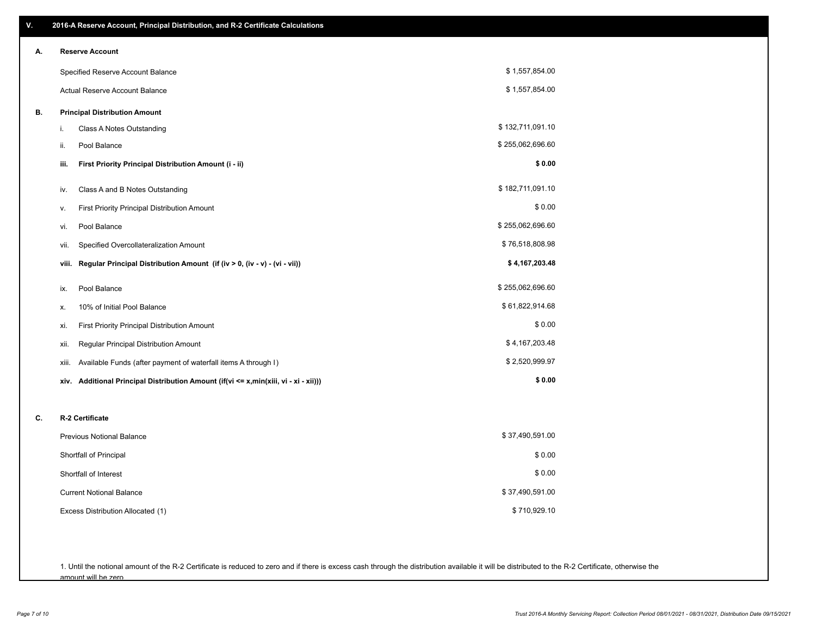| V. | 2016-A Reserve Account, Principal Distribution, and R-2 Certificate Calculations        |                  |  |  |  |  |  |
|----|-----------------------------------------------------------------------------------------|------------------|--|--|--|--|--|
| А. | <b>Reserve Account</b>                                                                  |                  |  |  |  |  |  |
|    | Specified Reserve Account Balance                                                       | \$1,557,854.00   |  |  |  |  |  |
|    | Actual Reserve Account Balance                                                          | \$1,557,854.00   |  |  |  |  |  |
| В. | <b>Principal Distribution Amount</b>                                                    |                  |  |  |  |  |  |
|    | i.<br>Class A Notes Outstanding                                                         | \$132,711,091.10 |  |  |  |  |  |
|    | Pool Balance<br>ii.                                                                     | \$255,062,696.60 |  |  |  |  |  |
|    | iii.<br>First Priority Principal Distribution Amount (i - ii)                           | \$0.00           |  |  |  |  |  |
|    | Class A and B Notes Outstanding<br>iv.                                                  | \$182,711,091.10 |  |  |  |  |  |
|    | First Priority Principal Distribution Amount<br>ν.                                      | \$0.00           |  |  |  |  |  |
|    | Pool Balance<br>vi.                                                                     | \$255,062,696.60 |  |  |  |  |  |
|    | Specified Overcollateralization Amount<br>vii.                                          | \$76,518,808.98  |  |  |  |  |  |
|    | Regular Principal Distribution Amount (if (iv > 0, (iv - v) - (vi - vii))<br>viii.      | \$4,167,203.48   |  |  |  |  |  |
|    | Pool Balance<br>ix.                                                                     | \$255,062,696.60 |  |  |  |  |  |
|    | 10% of Initial Pool Balance<br>х.                                                       | \$61,822,914.68  |  |  |  |  |  |
|    | First Priority Principal Distribution Amount<br>xi.                                     | \$0.00           |  |  |  |  |  |
|    | Regular Principal Distribution Amount<br>xii.                                           | \$4,167,203.48   |  |  |  |  |  |
|    | Available Funds (after payment of waterfall items A through I)<br>xiii.                 | \$2,520,999.97   |  |  |  |  |  |
|    | Additional Principal Distribution Amount (if(vi <= x,min(xiii, vi - xi - xii)))<br>xiv. | \$0.00           |  |  |  |  |  |
|    |                                                                                         |                  |  |  |  |  |  |
| C. | R-2 Certificate                                                                         |                  |  |  |  |  |  |
|    | <b>Previous Notional Balance</b>                                                        | \$37,490,591.00  |  |  |  |  |  |
|    | Shortfall of Principal                                                                  | \$0.00           |  |  |  |  |  |
|    | Shortfall of Interest                                                                   | \$0.00           |  |  |  |  |  |
|    | <b>Current Notional Balance</b>                                                         | \$37,490,591.00  |  |  |  |  |  |
|    | Excess Distribution Allocated (1)                                                       | \$710,929.10     |  |  |  |  |  |
|    |                                                                                         |                  |  |  |  |  |  |
|    |                                                                                         |                  |  |  |  |  |  |

1. Until the notional amount of the R-2 Certificate is reduced to zero and if there is excess cash through the distribution available it will be distributed to the R-2 Certificate, otherwise the amount will be zero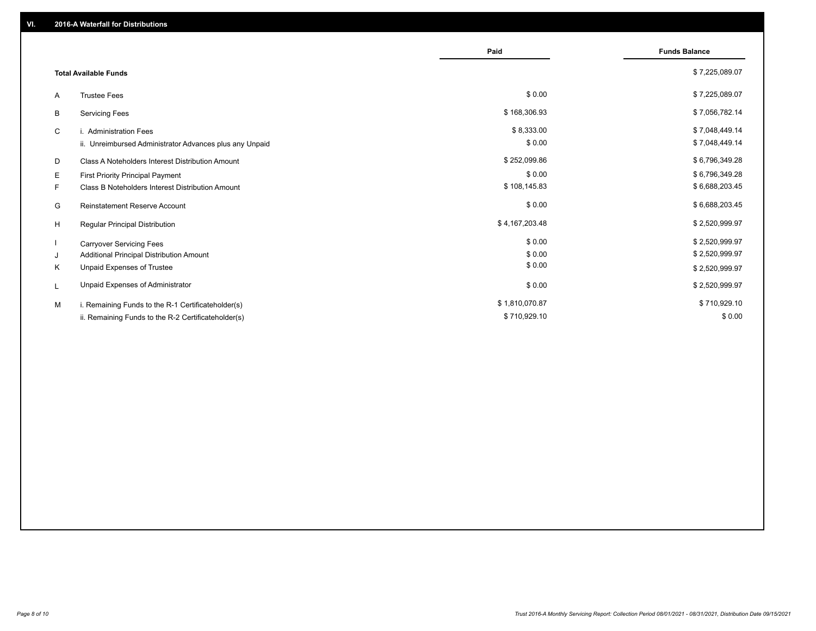|                                                         | Paid           | <b>Funds Balance</b> |
|---------------------------------------------------------|----------------|----------------------|
| <b>Total Available Funds</b>                            |                | \$7,225,089.07       |
| <b>Trustee Fees</b><br>A                                | \$0.00         | \$7,225,089.07       |
| <b>Servicing Fees</b><br>B                              | \$168,306.93   | \$7,056,782.14       |
| C<br>i. Administration Fees                             | \$8,333.00     | \$7,048,449.14       |
| ii. Unreimbursed Administrator Advances plus any Unpaid | \$0.00         | \$7,048,449.14       |
| D<br>Class A Noteholders Interest Distribution Amount   | \$252,099.86   | \$6,796,349.28       |
| E.<br>First Priority Principal Payment                  | \$0.00         | \$6,796,349.28       |
| F.<br>Class B Noteholders Interest Distribution Amount  | \$108,145.83   | \$6,688,203.45       |
| <b>Reinstatement Reserve Account</b><br>G               | \$0.00         | \$6,688,203.45       |
| <b>Regular Principal Distribution</b><br>H              | \$4,167,203.48 | \$2,520,999.97       |
| <b>Carryover Servicing Fees</b>                         | \$0.00         | \$2,520,999.97       |
| Additional Principal Distribution Amount<br>J           | \$0.00         | \$2,520,999.97       |
| Unpaid Expenses of Trustee<br>K                         | \$0.00         | \$2,520,999.97       |
| Unpaid Expenses of Administrator<br>L                   | \$0.00         | \$2,520,999.97       |
| i. Remaining Funds to the R-1 Certificateholder(s)<br>м | \$1,810,070.87 | \$710,929.10         |
| ii. Remaining Funds to the R-2 Certificateholder(s)     | \$710,929.10   | \$0.00               |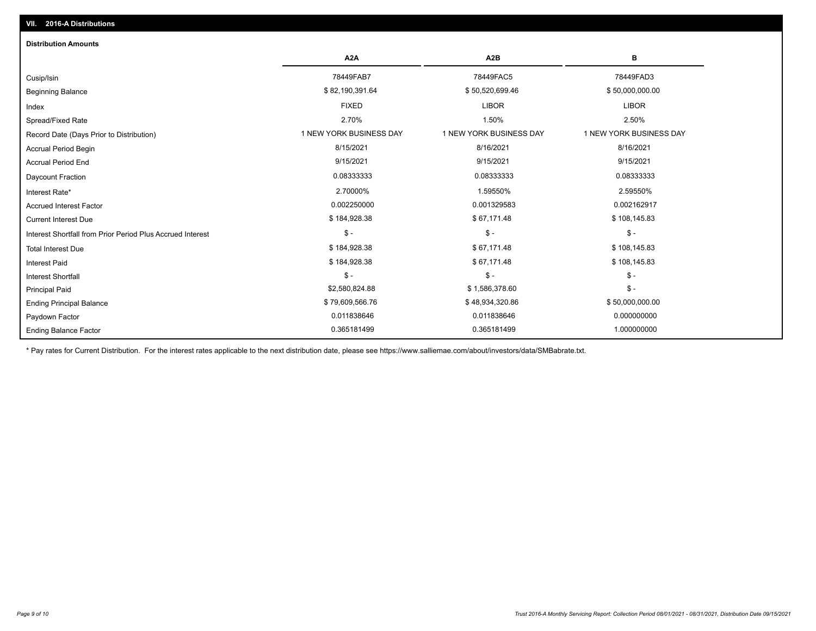| <b>Distribution Amounts</b>                                |                         |                         |                         |
|------------------------------------------------------------|-------------------------|-------------------------|-------------------------|
|                                                            | A <sub>2</sub> A        | A <sub>2</sub> B        | в                       |
| Cusip/Isin                                                 | 78449FAB7               | 78449FAC5               | 78449FAD3               |
| <b>Beginning Balance</b>                                   | \$82,190,391.64         | \$50,520,699.46         | \$50,000,000.00         |
| Index                                                      | <b>FIXED</b>            | <b>LIBOR</b>            | <b>LIBOR</b>            |
| Spread/Fixed Rate                                          | 2.70%                   | 1.50%                   | 2.50%                   |
| Record Date (Days Prior to Distribution)                   | 1 NEW YORK BUSINESS DAY | 1 NEW YORK BUSINESS DAY | 1 NEW YORK BUSINESS DAY |
| <b>Accrual Period Begin</b>                                | 8/15/2021               | 8/16/2021               | 8/16/2021               |
| <b>Accrual Period End</b>                                  | 9/15/2021               | 9/15/2021               | 9/15/2021               |
| <b>Daycount Fraction</b>                                   | 0.08333333              | 0.08333333              | 0.08333333              |
| Interest Rate*                                             | 2.70000%                | 1.59550%                | 2.59550%                |
| <b>Accrued Interest Factor</b>                             | 0.002250000             | 0.001329583             | 0.002162917             |
| <b>Current Interest Due</b>                                | \$184,928.38            | \$67,171.48             | \$108,145.83            |
| Interest Shortfall from Prior Period Plus Accrued Interest | $\frac{1}{2}$           | $$ -$                   | $\mathsf{\$}$ -         |
| <b>Total Interest Due</b>                                  | \$184,928.38            | \$67,171.48             | \$108,145.83            |
| <b>Interest Paid</b>                                       | \$184,928.38            | \$67,171.48             | \$108,145.83            |
| <b>Interest Shortfall</b>                                  | $$ -$                   | $$ -$                   | $$ -$                   |
| <b>Principal Paid</b>                                      | \$2,580,824.88          | \$1,586,378.60          | $\mathsf{\$}$ -         |
| <b>Ending Principal Balance</b>                            | \$79,609,566.76         | \$48,934,320.86         | \$50,000,000.00         |
| Paydown Factor                                             | 0.011838646             | 0.011838646             | 0.000000000             |
| <b>Ending Balance Factor</b>                               | 0.365181499             | 0.365181499             | 1.000000000             |

\* Pay rates for Current Distribution. For the interest rates applicable to the next distribution date, please see https://www.salliemae.com/about/investors/data/SMBabrate.txt.

**VII. 2016-A Distributions**